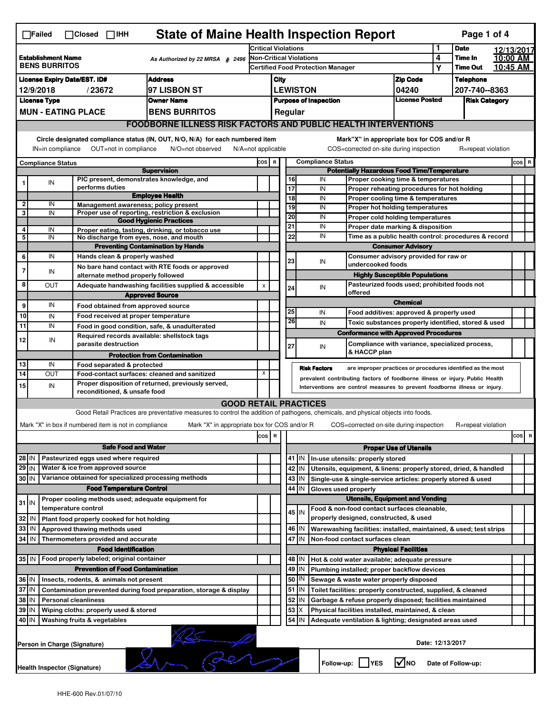|                                                                                                                                                                                                                                                                                           | <b>State of Maine Health Inspection Report</b><br>Page 1 of 4<br>$\Box$ Failed<br>$\Box$ Closed $\Box$ IHH |  |                                                                                      |                                                                                                                                                                   |                                                                            |                                                                          |                                                                                                                                                            |               |                     |                                                                                       |                               |        |                            |                      |           |
|-------------------------------------------------------------------------------------------------------------------------------------------------------------------------------------------------------------------------------------------------------------------------------------------|------------------------------------------------------------------------------------------------------------|--|--------------------------------------------------------------------------------------|-------------------------------------------------------------------------------------------------------------------------------------------------------------------|----------------------------------------------------------------------------|--------------------------------------------------------------------------|------------------------------------------------------------------------------------------------------------------------------------------------------------|---------------|---------------------|---------------------------------------------------------------------------------------|-------------------------------|--------|----------------------------|----------------------|-----------|
|                                                                                                                                                                                                                                                                                           |                                                                                                            |  |                                                                                      |                                                                                                                                                                   | <b>Critical Violations</b>                                                 |                                                                          |                                                                                                                                                            |               |                     | 1                                                                                     | <b>Date</b>                   |        | 12/13/2017                 |                      |           |
| <b>Establishment Name</b><br>As Authorized by 22 MRSA § 2496<br><b>BENS BURRITOS</b>                                                                                                                                                                                                      |                                                                                                            |  |                                                                                      |                                                                                                                                                                   | <b>Non-Critical Violations</b><br><b>Certified Food Protection Manager</b> |                                                                          |                                                                                                                                                            |               |                     |                                                                                       |                               | 4<br>Υ | Time In<br><b>Time Out</b> | 10:00 AM<br>10:45 AM |           |
|                                                                                                                                                                                                                                                                                           | <b>Address</b><br><b>License Expiry Date/EST. ID#</b>                                                      |  |                                                                                      |                                                                                                                                                                   |                                                                            |                                                                          | <b>Zip Code</b><br>City                                                                                                                                    |               |                     |                                                                                       |                               |        | <b>Telephone</b>           |                      |           |
| 12/9/2018<br>/23672<br>97 LISBON ST                                                                                                                                                                                                                                                       |                                                                                                            |  |                                                                                      |                                                                                                                                                                   |                                                                            | <b>LEWISTON</b>                                                          |                                                                                                                                                            |               | 04240               |                                                                                       | 207-740--8363                 |        |                            |                      |           |
| <b>License Type</b><br><b>Owner Name</b>                                                                                                                                                                                                                                                  |                                                                                                            |  |                                                                                      |                                                                                                                                                                   |                                                                            | <b>License Posted</b><br><b>Purpose of Inspection</b>                    |                                                                                                                                                            |               |                     | <b>Risk Category</b>                                                                  |                               |        |                            |                      |           |
| <b>MUN - EATING PLACE</b><br><b>BENS BURRITOS</b>                                                                                                                                                                                                                                         |                                                                                                            |  |                                                                                      |                                                                                                                                                                   |                                                                            | Regular                                                                  |                                                                                                                                                            |               |                     |                                                                                       |                               |        |                            |                      |           |
|                                                                                                                                                                                                                                                                                           | <b>FOODBORNE ILLNESS RISK FACTORS AND PUBLIC HEALTH INTERVENTIONS</b>                                      |  |                                                                                      |                                                                                                                                                                   |                                                                            |                                                                          |                                                                                                                                                            |               |                     |                                                                                       |                               |        |                            |                      |           |
|                                                                                                                                                                                                                                                                                           |                                                                                                            |  |                                                                                      |                                                                                                                                                                   |                                                                            |                                                                          |                                                                                                                                                            |               |                     |                                                                                       |                               |        |                            |                      |           |
| Circle designated compliance status (IN, OUT, N/O, N/A) for each numbered item<br>Mark"X" in appropriate box for COS and/or R<br>OUT=not in compliance<br>COS=corrected on-site during inspection<br>IN=in compliance<br>N/O=not observed<br>$N/A = not$ applicable<br>R=repeat violation |                                                                                                            |  |                                                                                      |                                                                                                                                                                   |                                                                            |                                                                          |                                                                                                                                                            |               |                     |                                                                                       |                               |        |                            |                      |           |
|                                                                                                                                                                                                                                                                                           | <b>Compliance Status</b>                                                                                   |  |                                                                                      |                                                                                                                                                                   | COS R                                                                      |                                                                          | <b>Compliance Status</b><br>$cos$ R                                                                                                                        |               |                     |                                                                                       |                               |        |                            |                      |           |
|                                                                                                                                                                                                                                                                                           |                                                                                                            |  |                                                                                      | <b>Supervision</b>                                                                                                                                                |                                                                            |                                                                          | <b>Potentially Hazardous Food Time/Temperature</b><br>16<br>Proper cooking time & temperatures                                                             |               |                     |                                                                                       |                               |        |                            |                      |           |
|                                                                                                                                                                                                                                                                                           | IN                                                                                                         |  | PIC present, demonstrates knowledge, and<br>performs duties                          |                                                                                                                                                                   |                                                                            |                                                                          | 17                                                                                                                                                         |               | IN<br>IN            | Proper reheating procedures for hot holding                                           |                               |        |                            |                      |           |
|                                                                                                                                                                                                                                                                                           |                                                                                                            |  |                                                                                      | <b>Employee Health</b>                                                                                                                                            |                                                                            |                                                                          | 18                                                                                                                                                         |               | IN                  | Proper cooling time & temperatures                                                    |                               |        |                            |                      |           |
| $\mathbf{2}$<br>3                                                                                                                                                                                                                                                                         | IN<br>IN                                                                                                   |  | Management awareness; policy present                                                 | Proper use of reporting, restriction & exclusion                                                                                                                  |                                                                            |                                                                          | 19                                                                                                                                                         |               | IN                  | <b>Proper hot holding temperatures</b>                                                |                               |        |                            |                      |           |
|                                                                                                                                                                                                                                                                                           |                                                                                                            |  |                                                                                      | <b>Good Hygienic Practices</b>                                                                                                                                    |                                                                            |                                                                          | 20                                                                                                                                                         |               | IN                  | Proper cold holding temperatures                                                      |                               |        |                            |                      |           |
| 4                                                                                                                                                                                                                                                                                         | IN                                                                                                         |  |                                                                                      | Proper eating, tasting, drinking, or tobacco use                                                                                                                  |                                                                            |                                                                          | 21<br>22                                                                                                                                                   |               | IN<br>IN            | Proper date marking & disposition                                                     |                               |        |                            |                      |           |
| 5                                                                                                                                                                                                                                                                                         | IN                                                                                                         |  | No discharge from eyes, nose, and mouth                                              | <b>Preventing Contamination by Hands</b>                                                                                                                          |                                                                            |                                                                          |                                                                                                                                                            |               |                     | Time as a public health control: procedures & record<br><b>Consumer Advisory</b>      |                               |        |                            |                      |           |
| 6                                                                                                                                                                                                                                                                                         | IN                                                                                                         |  | Hands clean & properly washed                                                        |                                                                                                                                                                   |                                                                            |                                                                          |                                                                                                                                                            |               |                     | Consumer advisory provided for raw or                                                 |                               |        |                            |                      |           |
| 7                                                                                                                                                                                                                                                                                         |                                                                                                            |  |                                                                                      | No bare hand contact with RTE foods or approved                                                                                                                   |                                                                            |                                                                          | 23                                                                                                                                                         |               | IN                  | undercooked foods                                                                     |                               |        |                            |                      |           |
|                                                                                                                                                                                                                                                                                           | IN                                                                                                         |  | alternate method properly followed                                                   |                                                                                                                                                                   |                                                                            |                                                                          |                                                                                                                                                            |               |                     | <b>Highly Susceptible Populations</b>                                                 |                               |        |                            |                      |           |
| 8                                                                                                                                                                                                                                                                                         | OUT                                                                                                        |  |                                                                                      | Adequate handwashing facilities supplied & accessible                                                                                                             | X                                                                          |                                                                          | 24                                                                                                                                                         |               | IN                  | Pasteurized foods used; prohibited foods not<br>offered                               |                               |        |                            |                      |           |
| 9                                                                                                                                                                                                                                                                                         | IN                                                                                                         |  | Food obtained from approved source                                                   | <b>Approved Source</b>                                                                                                                                            |                                                                            |                                                                          |                                                                                                                                                            |               |                     |                                                                                       | <b>Chemical</b>               |        |                            |                      |           |
| 10                                                                                                                                                                                                                                                                                        | IN                                                                                                         |  | Food received at proper temperature                                                  |                                                                                                                                                                   |                                                                            |                                                                          | 25                                                                                                                                                         |               | IN                  | Food additives: approved & properly used                                              |                               |        |                            |                      |           |
| 11                                                                                                                                                                                                                                                                                        | IN                                                                                                         |  |                                                                                      | Food in good condition, safe, & unadulterated                                                                                                                     |                                                                            |                                                                          | 26                                                                                                                                                         |               | IN                  | Toxic substances properly identified, stored & used                                   |                               |        |                            |                      |           |
| 12                                                                                                                                                                                                                                                                                        | IN                                                                                                         |  | Required records available: shellstock tags                                          |                                                                                                                                                                   |                                                                            |                                                                          |                                                                                                                                                            |               |                     | <b>Conformance with Approved Procedures</b>                                           |                               |        |                            |                      |           |
|                                                                                                                                                                                                                                                                                           |                                                                                                            |  | parasite destruction                                                                 |                                                                                                                                                                   |                                                                            |                                                                          | 27                                                                                                                                                         |               | IN                  | Compliance with variance, specialized process,<br>& HACCP plan                        |                               |        |                            |                      |           |
| 13                                                                                                                                                                                                                                                                                        | IN                                                                                                         |  | Food separated & protected                                                           | <b>Protection from Contamination</b>                                                                                                                              |                                                                            |                                                                          |                                                                                                                                                            |               |                     |                                                                                       |                               |        |                            |                      |           |
| 14                                                                                                                                                                                                                                                                                        | OUT                                                                                                        |  |                                                                                      | Food-contact surfaces: cleaned and sanitized                                                                                                                      | X                                                                          |                                                                          |                                                                                                                                                            |               | <b>Risk Factors</b> | are improper practices or procedures identified as the most                           |                               |        |                            |                      |           |
| 15                                                                                                                                                                                                                                                                                        | IN                                                                                                         |  |                                                                                      | Proper disposition of returned, previously served,                                                                                                                |                                                                            |                                                                          | prevalent contributing factors of foodborne illness or injury. Public Health<br>Interventions are control measures to prevent foodborne illness or injury. |               |                     |                                                                                       |                               |        |                            |                      |           |
|                                                                                                                                                                                                                                                                                           |                                                                                                            |  | reconditioned, & unsafe food                                                         |                                                                                                                                                                   |                                                                            |                                                                          |                                                                                                                                                            |               |                     |                                                                                       |                               |        |                            |                      |           |
|                                                                                                                                                                                                                                                                                           |                                                                                                            |  |                                                                                      | <b>GOOD RETAIL PRACTICES</b><br>Good Retail Practices are preventative measures to control the addition of pathogens, chemicals, and physical objects into foods. |                                                                            |                                                                          |                                                                                                                                                            |               |                     |                                                                                       |                               |        |                            |                      |           |
|                                                                                                                                                                                                                                                                                           |                                                                                                            |  | Mark "X" in box if numbered item is not in compliance                                | Mark "X" in appropriate box for COS and/or R                                                                                                                      |                                                                            |                                                                          |                                                                                                                                                            |               |                     | COS=corrected on-site during inspection                                               |                               |        | R=repeat violation         |                      |           |
|                                                                                                                                                                                                                                                                                           |                                                                                                            |  |                                                                                      |                                                                                                                                                                   | COS R                                                                      |                                                                          |                                                                                                                                                            |               |                     |                                                                                       |                               |        |                            |                      | cosl<br>R |
| <b>Safe Food and Water</b>                                                                                                                                                                                                                                                                |                                                                                                            |  |                                                                                      |                                                                                                                                                                   |                                                                            |                                                                          |                                                                                                                                                            |               |                     |                                                                                       | <b>Proper Use of Utensils</b> |        |                            |                      |           |
| Pasteurized eggs used where required<br>28 IN                                                                                                                                                                                                                                             |                                                                                                            |  |                                                                                      |                                                                                                                                                                   |                                                                            |                                                                          |                                                                                                                                                            | $41$ M        |                     | In-use utensils: properly stored                                                      |                               |        |                            |                      |           |
| $29$ IN                                                                                                                                                                                                                                                                                   |                                                                                                            |  | Water & ice from approved source                                                     |                                                                                                                                                                   |                                                                            |                                                                          | 42                                                                                                                                                         | IN            |                     | Utensils, equipment, & linens: properly stored, dried, & handled                      |                               |        |                            |                      |           |
| Variance obtained for specialized processing methods<br>30 IN                                                                                                                                                                                                                             |                                                                                                            |  |                                                                                      |                                                                                                                                                                   |                                                                            | 43<br>IN<br>Single-use & single-service articles: properly stored & used |                                                                                                                                                            |               |                     |                                                                                       |                               |        |                            |                      |           |
|                                                                                                                                                                                                                                                                                           |                                                                                                            |  | <b>Food Temperature Control</b>                                                      |                                                                                                                                                                   |                                                                            |                                                                          | 44<br>IN<br>Gloves used properly                                                                                                                           |               |                     |                                                                                       |                               |        |                            |                      |           |
|                                                                                                                                                                                                                                                                                           | Proper cooling methods used; adequate equipment for<br>$31$ IN<br>temperature control                      |  |                                                                                      |                                                                                                                                                                   |                                                                            |                                                                          | <b>Utensils, Equipment and Vending</b><br>Food & non-food contact surfaces cleanable,                                                                      |               |                     |                                                                                       |                               |        |                            |                      |           |
| 32                                                                                                                                                                                                                                                                                        | IN                                                                                                         |  | Plant food properly cooked for hot holding                                           |                                                                                                                                                                   |                                                                            |                                                                          |                                                                                                                                                            | 45 I IN       |                     | properly designed, constructed, & used                                                |                               |        |                            |                      |           |
| 33                                                                                                                                                                                                                                                                                        | IN                                                                                                         |  | Approved thawing methods used                                                        |                                                                                                                                                                   |                                                                            |                                                                          | 46                                                                                                                                                         | IN            |                     | Warewashing facilities: installed, maintained, & used; test strips                    |                               |        |                            |                      |           |
| 34 IN                                                                                                                                                                                                                                                                                     |                                                                                                            |  | Thermometers provided and accurate                                                   |                                                                                                                                                                   |                                                                            |                                                                          | 47 IN<br>Non-food contact surfaces clean                                                                                                                   |               |                     |                                                                                       |                               |        |                            |                      |           |
|                                                                                                                                                                                                                                                                                           |                                                                                                            |  | <b>Food Identification</b>                                                           |                                                                                                                                                                   |                                                                            |                                                                          | <b>Physical Facilities</b><br>Hot & cold water available; adequate pressure                                                                                |               |                     |                                                                                       |                               |        |                            |                      |           |
| 35 IN                                                                                                                                                                                                                                                                                     |                                                                                                            |  | Food properly labeled; original container<br><b>Prevention of Food Contamination</b> |                                                                                                                                                                   |                                                                            |                                                                          |                                                                                                                                                            | 48   IN       |                     |                                                                                       |                               |        |                            |                      |           |
| 36 IN                                                                                                                                                                                                                                                                                     |                                                                                                            |  | Insects, rodents, & animals not present                                              |                                                                                                                                                                   |                                                                            |                                                                          | 49                                                                                                                                                         | IN<br>50   IN |                     | Plumbing installed; proper backflow devices<br>Sewage & waste water properly disposed |                               |        |                            |                      |           |
| 37 IN                                                                                                                                                                                                                                                                                     |                                                                                                            |  |                                                                                      | Contamination prevented during food preparation, storage & display                                                                                                |                                                                            |                                                                          |                                                                                                                                                            | $51$ M        |                     | Toilet facilities: properly constructed, supplied, & cleaned                          |                               |        |                            |                      |           |
| 38 IN<br><b>Personal cleanliness</b>                                                                                                                                                                                                                                                      |                                                                                                            |  |                                                                                      |                                                                                                                                                                   |                                                                            |                                                                          | 52                                                                                                                                                         | IN            |                     | Garbage & refuse properly disposed; facilities maintained                             |                               |        |                            |                      |           |
| 39<br>ΙN<br>Wiping cloths: properly used & stored                                                                                                                                                                                                                                         |                                                                                                            |  |                                                                                      |                                                                                                                                                                   |                                                                            |                                                                          | 53                                                                                                                                                         |               |                     | Physical facilities installed, maintained, & clean                                    |                               |        |                            |                      |           |
|                                                                                                                                                                                                                                                                                           | 54<br>40 IN<br>Washing fruits & vegetables<br>IN<br>Adequate ventilation & lighting; designated areas used |  |                                                                                      |                                                                                                                                                                   |                                                                            |                                                                          |                                                                                                                                                            |               |                     |                                                                                       |                               |        |                            |                      |           |
|                                                                                                                                                                                                                                                                                           | Date: 12/13/2017<br>Person in Charge (Signature)                                                           |  |                                                                                      |                                                                                                                                                                   |                                                                            |                                                                          |                                                                                                                                                            |               |                     |                                                                                       |                               |        |                            |                      |           |
|                                                                                                                                                                                                                                                                                           | ∣√мо<br>Follow-up:     YES<br>Date of Follow-up:<br>Health Inspector (Signature)                           |  |                                                                                      |                                                                                                                                                                   |                                                                            |                                                                          |                                                                                                                                                            |               |                     |                                                                                       |                               |        |                            |                      |           |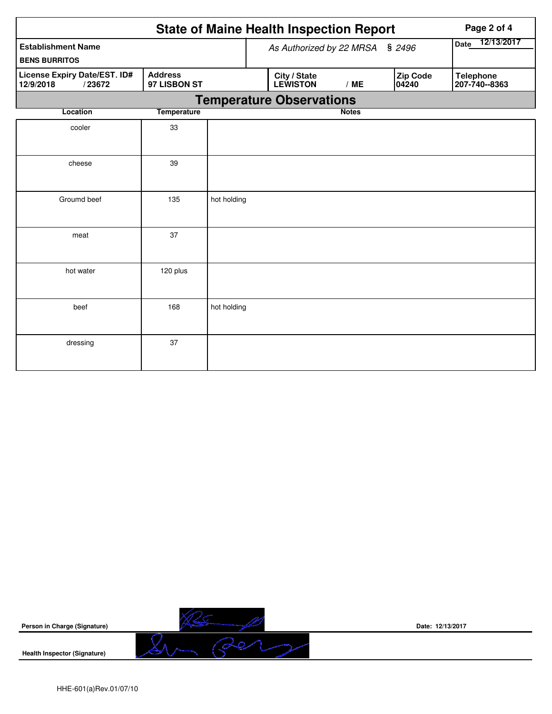|                                                     | Page 2 of 4                    |             |                                    |                                 |              |                   |                                   |
|-----------------------------------------------------|--------------------------------|-------------|------------------------------------|---------------------------------|--------------|-------------------|-----------------------------------|
| <b>Establishment Name</b><br><b>BENS BURRITOS</b>   |                                |             | \$2496<br>As Authorized by 22 MRSA |                                 |              |                   | Date 12/13/2017                   |
| License Expiry Date/EST. ID#<br>12/9/2018<br>/23672 | <b>Address</b><br>97 LISBON ST |             |                                    | City / State<br><b>LEWISTON</b> | /ME          | Zip Code<br>04240 | <b>Telephone</b><br>207-740--8363 |
|                                                     |                                |             |                                    | <b>Temperature Observations</b> |              |                   |                                   |
| Location                                            | <b>Temperature</b>             |             |                                    |                                 | <b>Notes</b> |                   |                                   |
| cooler                                              | 33                             |             |                                    |                                 |              |                   |                                   |
| cheese                                              | 39                             |             |                                    |                                 |              |                   |                                   |
| Groumd beef                                         | 135                            | hot holding |                                    |                                 |              |                   |                                   |
| meat                                                | 37                             |             |                                    |                                 |              |                   |                                   |
| hot water                                           | 120 plus                       |             |                                    |                                 |              |                   |                                   |
| beef                                                | 168                            | hot holding |                                    |                                 |              |                   |                                   |
| dressing                                            | 37                             |             |                                    |                                 |              |                   |                                   |



**Date: 12/13/2017**

HHE-601(a)Rev.01/07/10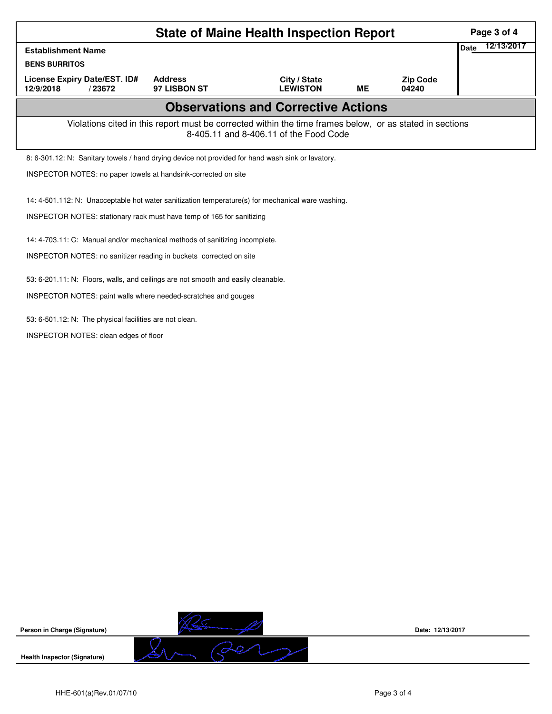|                                                                                                                                                    | Page 3 of 4                                                                                       |                                 |           |                          |  |  |  |  |
|----------------------------------------------------------------------------------------------------------------------------------------------------|---------------------------------------------------------------------------------------------------|---------------------------------|-----------|--------------------------|--|--|--|--|
| <b>Establishment Name</b>                                                                                                                          | 12/13/2017<br>Date                                                                                |                                 |           |                          |  |  |  |  |
| <b>BENS BURRITOS</b>                                                                                                                               |                                                                                                   |                                 |           |                          |  |  |  |  |
| License Expiry Date/EST. ID#<br>12/9/2018<br>/23672                                                                                                | <b>Address</b><br>97 LISBON ST                                                                    | City / State<br><b>LEWISTON</b> | <b>ME</b> | <b>Zip Code</b><br>04240 |  |  |  |  |
|                                                                                                                                                    | <b>Observations and Corrective Actions</b>                                                        |                                 |           |                          |  |  |  |  |
| Violations cited in this report must be corrected within the time frames below, or as stated in sections<br>8-405.11 and 8-406.11 of the Food Code |                                                                                                   |                                 |           |                          |  |  |  |  |
|                                                                                                                                                    | 8: 6-301.12: N: Sanitary towels / hand drying device not provided for hand wash sink or lavatory. |                                 |           |                          |  |  |  |  |
| INSPECTOR NOTES: no paper towels at handsink-corrected on site                                                                                     |                                                                                                   |                                 |           |                          |  |  |  |  |
| 14: 4-501.112: N: Unacceptable hot water sanitization temperature(s) for mechanical ware washing.                                                  |                                                                                                   |                                 |           |                          |  |  |  |  |
| INSPECTOR NOTES: stationary rack must have temp of 165 for sanitizing                                                                              |                                                                                                   |                                 |           |                          |  |  |  |  |
| 14: 4-703.11: C: Manual and/or mechanical methods of sanitizing incomplete.                                                                        |                                                                                                   |                                 |           |                          |  |  |  |  |
| INSPECTOR NOTES: no sanitizer reading in buckets corrected on site                                                                                 |                                                                                                   |                                 |           |                          |  |  |  |  |
| 53: 6-201.11: N: Floors, walls, and ceilings are not smooth and easily cleanable.                                                                  |                                                                                                   |                                 |           |                          |  |  |  |  |
| INSPECTOR NOTES: paint walls where needed-scratches and gouges                                                                                     |                                                                                                   |                                 |           |                          |  |  |  |  |
| 53: 6-501.12: N: The physical facilities are not clean.                                                                                            |                                                                                                   |                                 |           |                          |  |  |  |  |
| INSPECTOR NOTES: clean edges of floor                                                                                                              |                                                                                                   |                                 |           |                          |  |  |  |  |



**Date: 12/13/2017**